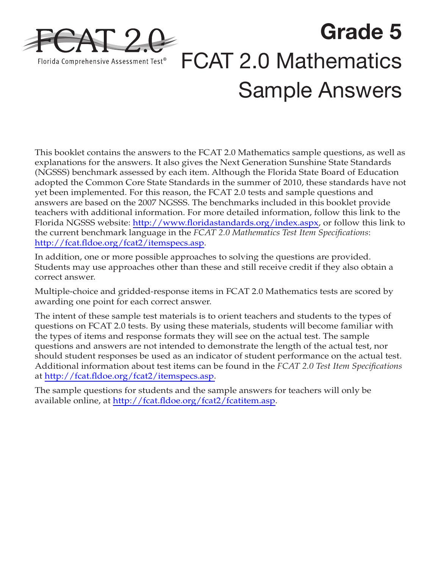

**Grade 5**  FCAT 2.0 Mathematics Sample Answers

This booklet contains the answers to the FCAT 2.0 Mathematics sample questions, as well as explanations for the answers. It also gives the Next Generation Sunshine State Standards (NGSSS) benchmark assessed by each item. Although the Florida State Board of Education adopted the Common Core State Standards in the summer of 2010, these standards have not yet been implemented. For this reason, the FCAT 2.0 tests and sample questions and answers are based on the 2007 NGSSS. The benchmarks included in this booklet provide teachers with additional information. For more detailed information, follow this link to the Florida NGSSS website: [http://www.floridastandards.org/index.aspx,](http://www.floridastandards.org/index.aspx) or follow this link to the current benchmark language in the *FCAT 2.0 Mathematics Test Item Specifications*: <http://fcat.fldoe.org/fcat2/itemspecs.asp>.

In addition, one or more possible approaches to solving the questions are provided. Students may use approaches other than these and still receive credit if they also obtain a correct answer.

Multiple-choice and gridded-response items in FCAT 2.0 Mathematics tests are scored by awarding one point for each correct answer.

The intent of these sample test materials is to orient teachers and students to the types of questions on FCAT 2.0 tests. By using these materials, students will become familiar with the types of items and response formats they will see on the actual test. The sample questions and answers are not intended to demonstrate the length of the actual test, nor should student responses be used as an indicator of student performance on the actual test. Additional information about test items can be found in the *FCAT 2.0 Test Item Specifications*  at [http://fcat.fldoe.org/fcat2/itemspecs.asp.](http://fcat.fldoe.org/fcat2/itemspecs.asp)

The sample questions for students and the sample answers for teachers will only be available online, at <http://fcat.fldoe.org/fcat2/fcatitem.asp>.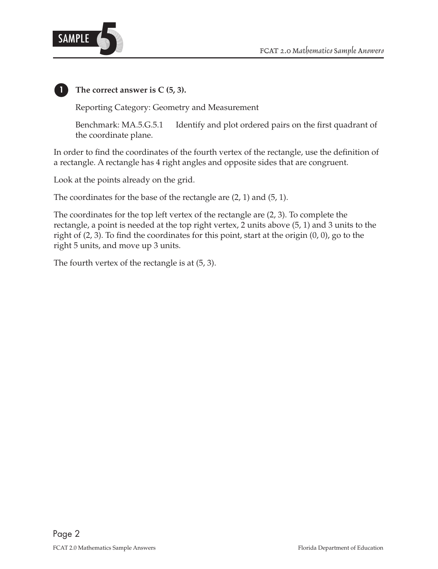

**1 The correct answer is C (5, 3).**

Reporting Category: Geometry and Measurement

Benchmark: MA.5.G.5.1 Identify and plot ordered pairs on the first quadrant of the coordinate plane.

In order to find the coordinates of the fourth vertex of the rectangle, use the definition of a rectangle. A rectangle has 4 right angles and opposite sides that are congruent.

Look at the points already on the grid.

The coordinates for the base of the rectangle are (2, 1) and (5, 1).

The coordinates for the top left vertex of the rectangle are (2, 3). To complete the rectangle, a point is needed at the top right vertex, 2 units above (5, 1) and 3 units to the right of (2, 3). To find the coordinates for this point, start at the origin (0, 0), go to the right 5 units, and move up 3 units.

The fourth vertex of the rectangle is at (5, 3).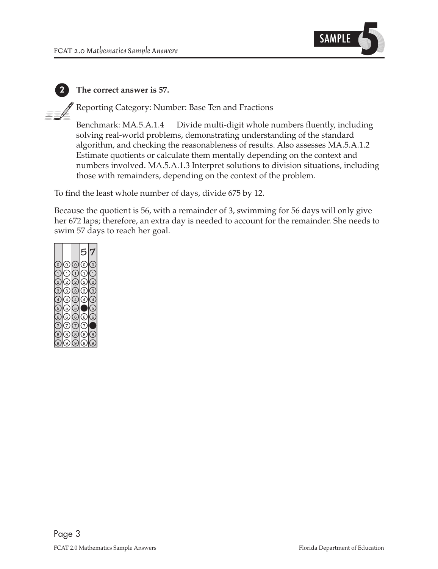

#### **2 The correct answer is 57.**

Reporting Category: Number: Base Ten and Fractions

Benchmark: MA.5.A.1.4 Divide multi-digit whole numbers fluently, including solving real-world problems, demonstrating understanding of the standard algorithm, and checking the reasonableness of results. Also assesses MA.5.A.1.2 Estimate quotients or calculate them mentally depending on the context and numbers involved. MA.5.A.1.3 Interpret solutions to division situations, including those with remainders, depending on the context of the problem.

To find the least whole number of days, divide 675 by 12.

Because the quotient is 56, with a remainder of 3, swimming for 56 days will only give her 672 laps; therefore, an extra day is needed to account for the remainder. She needs to swim 57 days to reach her goal.

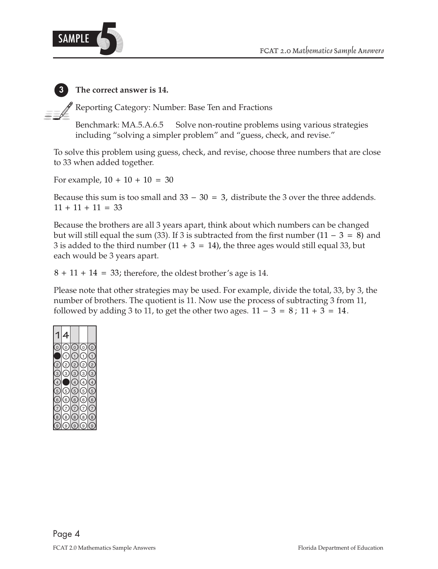

#### **3 The correct answer is 14.**

Reporting Category: Number: Base Ten and Fractions

Benchmark: MA.5.A.6.5 Solve non-routine problems using various strategies including "solving a simpler problem" and "guess, check, and revise."

To solve this problem using guess, check, and revise, choose three numbers that are close to 33 when added together.

For example,  $10 + 10 + 10 = 30$ 

Because this sum is too small and  $33 - 30 = 3$ , distribute the 3 over the three addends.  $11 + 11 + 11 = 33$ 

Because the brothers are all 3 years apart, think about which numbers can be changed but will still equal the sum (33). If 3 is subtracted from the first number (11 – 3 = 8) and 3 is added to the third number  $(11 + 3 = 14)$ , the three ages would still equal 33, but each would be 3 years apart.

 $8 + 11 + 14 = 33$ ; therefore, the oldest brother's age is 14.

Please note that other strategies may be used. For example, divide the total, 33, by 3, the number of brothers. The quotient is 11. Now use the process of subtracting 3 from 11, followed by adding 3 to 11, to get the other two ages.  $11 - 3 = 8$ ;  $11 + 3 = 14$ .

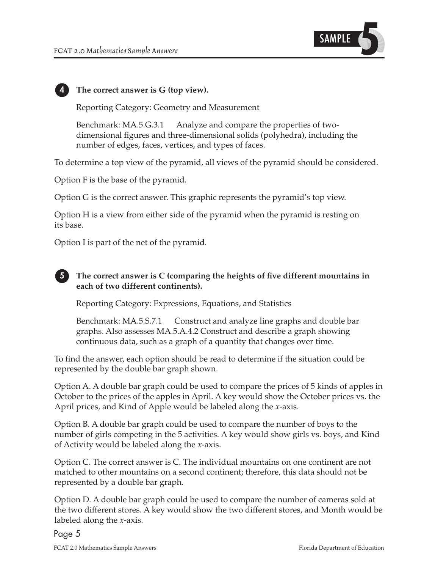

#### **4 The correct answer is G (top view).**

Reporting Category: Geometry and Measurement

Benchmark: MA.5.G.3.1 Analyze and compare the properties of twodimensional figures and three-dimensional solids (polyhedra), including the number of edges, faces, vertices, and types of faces.

To determine a top view of the pyramid, all views of the pyramid should be considered.

Option F is the base of the pyramid.

Option G is the correct answer. This graphic represents the pyramid's top view.

Option H is a view from either side of the pyramid when the pyramid is resting on its base.

Option I is part of the net of the pyramid.

#### **5 The correct answer is C (comparing the heights of five different mountains in each of two different continents).**

Reporting Category: Expressions, Equations, and Statistics

Benchmark: MA.5.S.7.1 Construct and analyze line graphs and double bar graphs. Also assesses MA.5.A.4.2 Construct and describe a graph showing continuous data, such as a graph of a quantity that changes over time.

To find the answer, each option should be read to determine if the situation could be represented by the double bar graph shown.

Option A. A double bar graph could be used to compare the prices of 5 kinds of apples in October to the prices of the apples in April. A key would show the October prices vs. the April prices, and Kind of Apple would be labeled along the *x*-axis.

Option B. A double bar graph could be used to compare the number of boys to the number of girls competing in the 5 activities. A key would show girls vs. boys, and Kind of Activity would be labeled along the *x*-axis.

Option C. The correct answer is C. The individual mountains on one continent are not matched to other mountains on a second continent; therefore, this data should not be represented by a double bar graph.

Option D. A double bar graph could be used to compare the number of cameras sold at the two different stores. A key would show the two different stores, and Month would be labeled along the *x*-axis.

Page 5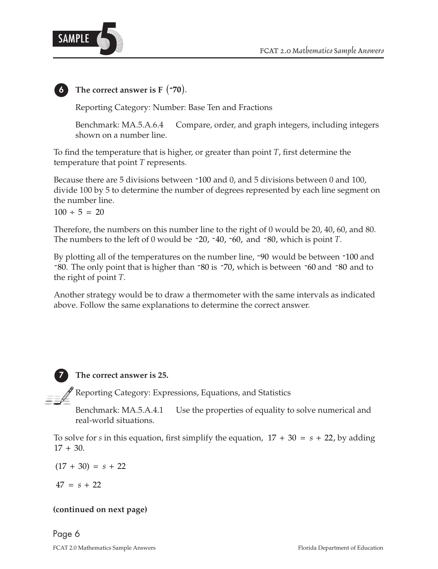

#### **6 The correct answer is F** (**-70**).

Reporting Category: Number: Base Ten and Fractions

Benchmark: MA.5.A.6.4 Compare, order, and graph integers, including integers shown on a number line.

To find the temperature that is higher, or greater than point *T*, first determine the temperature that point *T* represents.

Because there are 5 divisions between -100 and 0, and 5 divisions between 0 and 100, divide 100 by 5 to determine the number of degrees represented by each line segment on the number line.

 $100 \div 5 = 20$ 

Therefore, the numbers on this number line to the right of 0 would be 20, 40, 60, and 80. The numbers to the left of 0 would be  $-20$ ,  $-40$ ,  $-60$ , and  $-80$ , which is point *T*.

By plotting all of the temperatures on the number line, -90 would be between -100 and -80. The only point that is higher than -80 is -70, which is between -60 and -80 and to the right of point *T*.

Another strategy would be to draw a thermometer with the same intervals as indicated above. Follow the same explanations to determine the correct answer.

**7 The correct answer is 25.**

Reporting Category: Expressions, Equations, and Statistics

Benchmark: MA.5.A.4.1 Use the properties of equality to solve numerical and real-world situations.

To solve for *s* in this equation, first simplify the equation,  $17 + 30 = s + 22$ , by adding  $17 + 30.$ 

 $(17 + 30) = s + 22$ 

 $47 = s + 22$ 

#### **(continued on next page)**

Page 6 FCAT 2.0 Mathematics Sample Answers Florida Department of Education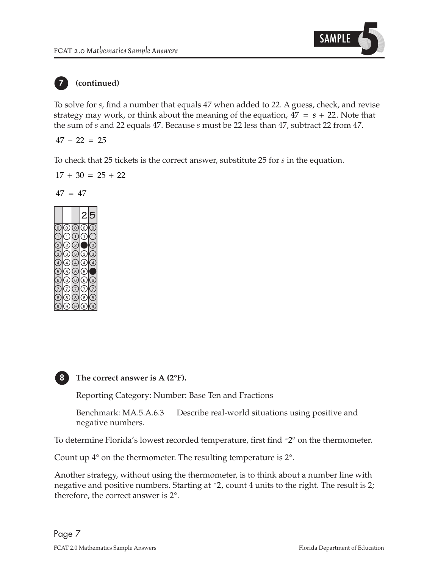

## **7 (continued)**

To solve for *s*, find a number that equals 47 when added to 22. A guess, check, and revise strategy may work, or think about the meaning of the equation,  $47 = s + 22$ . Note that the sum of *s* and 22 equals 47. Because *s* must be 22 less than 47, subtract 22 from 47.

$$
47 - 22 = 25
$$

To check that 25 tickets is the correct answer, substitute 25 for *s* in the equation.

$$
17 + 30 = 25 + 22
$$

$$
47\ =\ 47
$$





**8 The correct answer is A (2°F).**

Reporting Category: Number: Base Ten and Fractions

Benchmark: MA.5.A.6.3 Describe real-world situations using positive and negative numbers.

To determine Florida's lowest recorded temperature, first find -2° on the thermometer.

Count up 4° on the thermometer. The resulting temperature is 2°.

Another strategy, without using the thermometer, is to think about a number line with negative and positive numbers. Starting at  $-2$ , count 4 units to the right. The result is 2; therefore, the correct answer is 2°.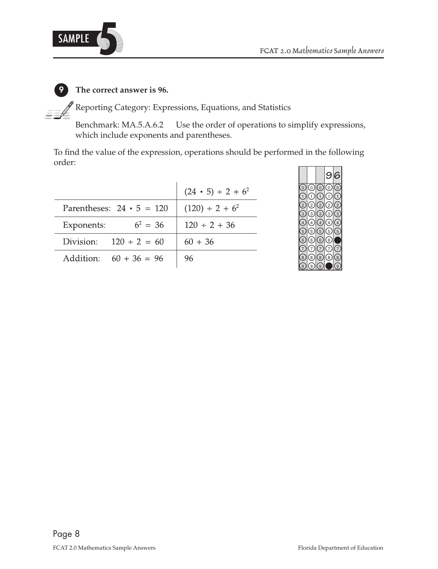

### **9 The correct answer is 96.**

 $\mathcal P$  Reporting Category: Expressions, Equations, and Statistics

Benchmark: MA.5.A.6.2 Use the order of operations to simplify expressions, which include exponents and parentheses.

To find the value of the expression, operations should be performed in the following order:

|                                 | $(24 \cdot 5) \div 2 + 6^2$ |
|---------------------------------|-----------------------------|
| Parentheses: $24 \cdot 5 = 120$ | $(120) \div 2 + 6^2$        |
| $6^2 = 36$<br>Exponents:        | $120 \div 2 + 36$           |
| Division: $120 \div 2 = 60$     | $60 + 36$                   |
| Addition: $60 + 36 = 96$        | 96                          |

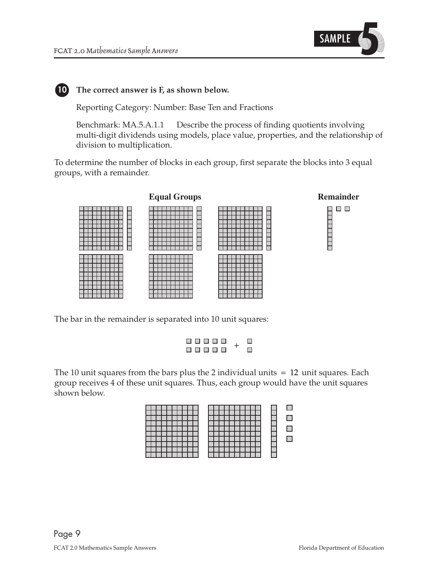

#### **10** The correct answer is F, as shown below.

Reporting Category: Number: Base Ten and Fractions

Benchmark: MA.5.A.1.1 Describe the process of finding quotients involving multi-digit dividends using models, place value, properties, and the relationship of division to multiplication.

To determine the number of blocks in each group, first separate the blocks into 3 equal groups, with a remainder.



The bar in the remainder is separated into 10 unit squares:

|  | <b>------</b> |  | П |
|--|---------------|--|---|
|  | 8 8 8 8 8     |  | П |

The 10 unit squares from the bars plus the 2 individual units  $= 12$  unit squares. Each group receives 4 of these unit squares. Thus, each group would have the unit squares shown below.

|--|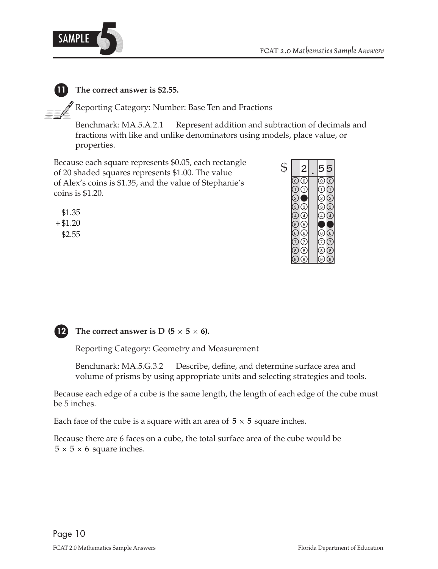

#### **11 The correct answer is \$2.55.**

Reporting Category: Number: Base Ten and Fractions

Benchmark: MA.5.A.2.1 Represent addition and subtraction of decimals and fractions with like and unlike denominators using models, place value, or properties.

Because each square represents \$0.05, each rectangle of 20 shaded squares represents \$1.00. The value of Alex's coins is \$1.35, and the value of Stephanie's coins is \$1.20.

| \$1.35  |
|---------|
| +\$1.20 |
| \$2.55  |





#### **12 The correct answer is D (5**  $\times$  **5**  $\times$  **6).**

Reporting Category: Geometry and Measurement

Benchmark: MA.5.G.3.2 Describe, define, and determine surface area and volume of prisms by using appropriate units and selecting strategies and tools.

Because each edge of a cube is the same length, the length of each edge of the cube must be 5 inches.

Each face of the cube is a square with an area of  $5 \times 5$  square inches.

Because there are 6 faces on a cube, the total surface area of the cube would be  $5 \times 5 \times 6$  square inches.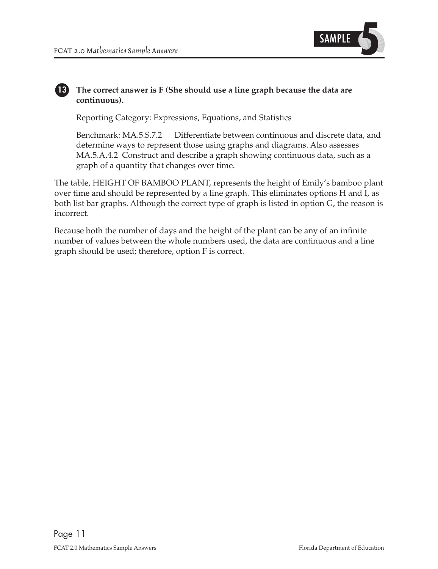

#### **13 The correct answer is F (She should use a line graph because the data are continuous).**

Reporting Category: Expressions, Equations, and Statistics

Benchmark: MA.5.S.7.2 Differentiate between continuous and discrete data, and determine ways to represent those using graphs and diagrams. Also assesses MA.5.A.4.2 Construct and describe a graph showing continuous data, such as a graph of a quantity that changes over time.

The table, HEIGHT OF BAMBOO PLANT, represents the height of Emily's bamboo plant over time and should be represented by a line graph. This eliminates options H and I, as both list bar graphs. Although the correct type of graph is listed in option G, the reason is incorrect.

Because both the number of days and the height of the plant can be any of an infinite number of values between the whole numbers used, the data are continuous and a line graph should be used; therefore, option F is correct.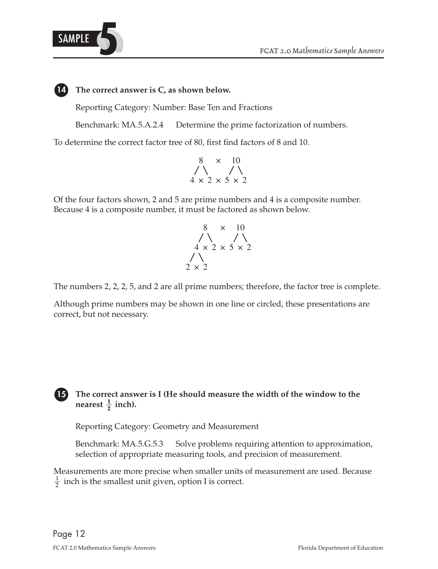

#### **14 The correct answer is C, as shown below.**

Reporting Category: Number: Base Ten and Fractions

Benchmark: MA.5.A.2.4 Determine the prime factorization of numbers.

To determine the correct factor tree of 80, first find factors of 8 and 10.

$$
\begin{array}{c}\n8 \times 10 \\
\bigwedge \{\times 2 \times 5 \times 2\n\end{array}
$$

Of the four factors shown, 2 and 5 are prime numbers and 4 is a composite number. Because 4 is a composite number, it must be factored as shown below.

$$
\begin{array}{c}\n8 \times 10 \\
\begin{array}{c}\n\diagup \\
4 \times 2 \times 5 \times 2 \\
\end{array} \\
2 \times 2\n\end{array}
$$

The numbers 2, 2, 2, 5, and 2 are all prime numbers; therefore, the factor tree is complete.

Although prime numbers may be shown in one line or circled, these presentations are correct, but not necessary.

#### **15** The correct answer is I (He should measure the width of the window to the **nearest**  $\frac{1}{2}$  **inch**).

Reporting Category: Geometry and Measurement

Benchmark: MA.5.G.5.3 Solve problems requiring attention to approximation, selection of appropriate measuring tools, and precision of measurement.

Measurements are more precise when smaller units of measurement are used. Because  $\frac{1}{2}$  inch is the smallest unit given, option I is correct.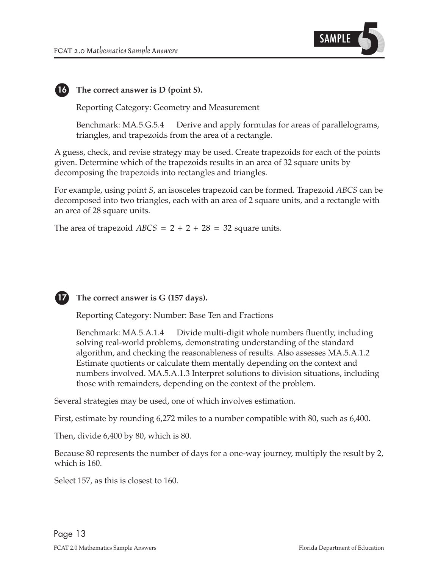

#### **16 The correct answer is D (point** *S***).**

Reporting Category: Geometry and Measurement

Benchmark: MA.5.G.5.4 Derive and apply formulas for areas of parallelograms, triangles, and trapezoids from the area of a rectangle.

A guess, check, and revise strategy may be used. Create trapezoids for each of the points given. Determine which of the trapezoids results in an area of 32 square units by decomposing the trapezoids into rectangles and triangles.

For example, using point *S*, an isosceles trapezoid can be formed. Trapezoid *ABCS* can be decomposed into two triangles, each with an area of 2 square units, and a rectangle with an area of 28 square units.

The area of trapezoid  $ABCS = 2 + 2 + 28 = 32$  square units.



#### **17** The correct answer is G (157 days).

Reporting Category: Number: Base Ten and Fractions

Benchmark: MA.5.A.1.4 Divide multi-digit whole numbers fluently, including solving real-world problems, demonstrating understanding of the standard algorithm, and checking the reasonableness of results. Also assesses MA.5.A.1.2 Estimate quotients or calculate them mentally depending on the context and numbers involved. MA.5.A.1.3 Interpret solutions to division situations, including those with remainders, depending on the context of the problem.

Several strategies may be used, one of which involves estimation.

First, estimate by rounding 6,272 miles to a number compatible with 80, such as 6,400.

Then, divide 6,400 by 80, which is 80.

Because 80 represents the number of days for a one-way journey, multiply the result by 2, which is 160.

Select 157, as this is closest to 160.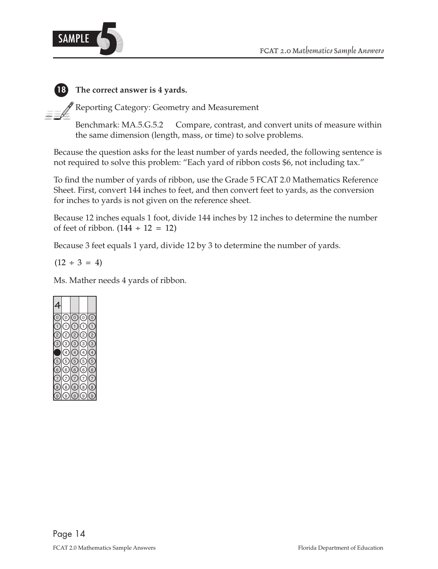

# **18 The correct answer is 4 yards.**

Reporting Category: Geometry and Measurement

Benchmark: MA.5.G.5.2 Compare, contrast, and convert units of measure within the same dimension (length, mass, or time) to solve problems.

Because the question asks for the least number of yards needed, the following sentence is not required to solve this problem: "Each yard of ribbon costs \$6, not including tax."

To find the number of yards of ribbon, use the Grade 5 FCAT 2.0 Mathematics Reference Sheet. First, convert 144 inches to feet, and then convert feet to yards, as the conversion for inches to yards is not given on the reference sheet.

Because 12 inches equals 1 foot, divide 144 inches by 12 inches to determine the number of feet of ribbon.  $(144 \div 12 = 12)$ 

Because 3 feet equals 1 yard, divide 12 by 3 to determine the number of yards.

 $(12 \div 3 = 4)$ 

Ms. Mather needs 4 yards of ribbon.

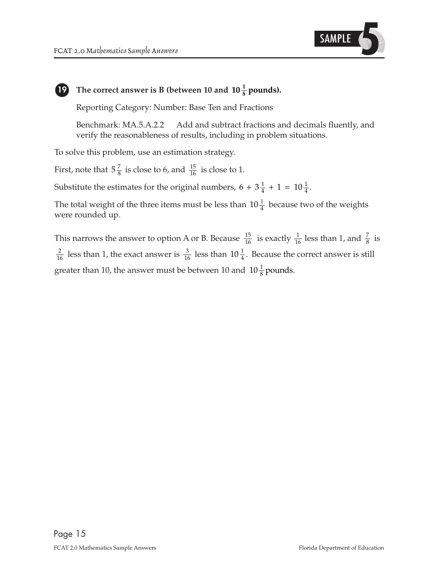

# **19 The correct answer is B (between 10 and**  $10\frac{1}{8}$  **pounds).**

Reporting Category: Number: Base Ten and Fractions

Benchmark: MA.5.A.2.2 Add and subtract fractions and decimals fluently, and verify the reasonableness of results, including in problem situations.

To solve this problem, use an estimation strategy.

First, note that  $5\frac{7}{8}$  is close to 6, and  $\frac{15}{16}$  is close to 1.

Substitute the estimates for the original numbers,  $6 + 3\frac{1}{4} + 1 = 10\frac{1}{4}$ .

The total weight of the three items must be less than  $10\frac{1}{4}$  because two of the weights were rounded up.

This narrows the answer to option A or B. Because  $\frac{15}{16}$  is exactly  $\frac{1}{16}$  less than 1, and  $\frac{7}{8}$  is  $\frac{2}{16}$  less than 1, the exact answer is  $\frac{3}{16}$  less than  $10\frac{1}{4}$ . Because the correct answer is still greater than 10, the answer must be between 10 and  $10\frac{1}{8}$  pounds.